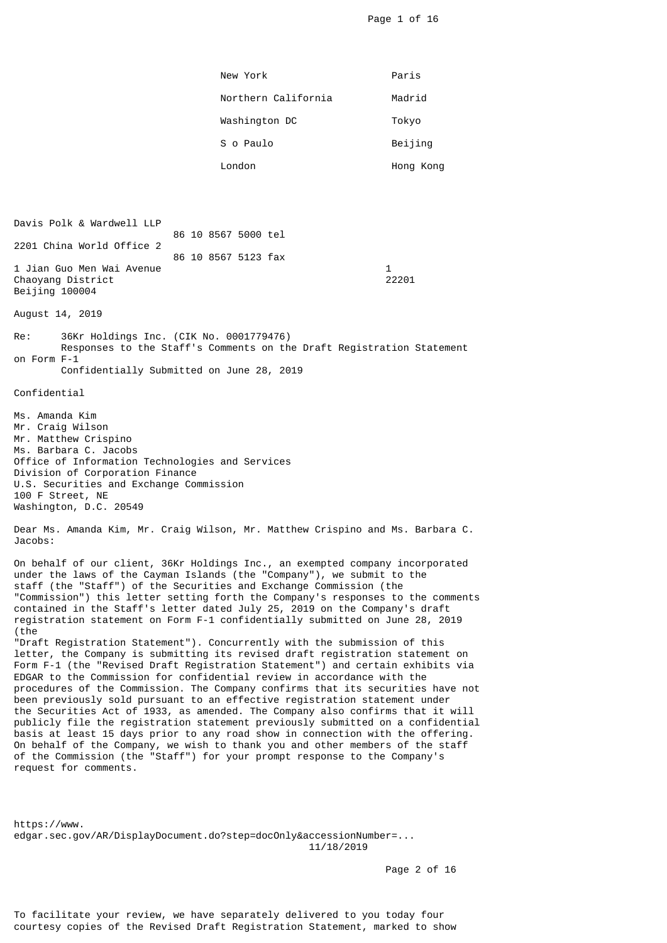Page 1 of 16

|                                                                                                                                                                                                                                                                                                                                                                                                                                                                                        | New York                                                                                                                                                                                                                                                                                                                                                                                                                                                                                                                                                                                                                                                                                                                                                                                                                                                                                                     | Paris                 |  |  |
|----------------------------------------------------------------------------------------------------------------------------------------------------------------------------------------------------------------------------------------------------------------------------------------------------------------------------------------------------------------------------------------------------------------------------------------------------------------------------------------|--------------------------------------------------------------------------------------------------------------------------------------------------------------------------------------------------------------------------------------------------------------------------------------------------------------------------------------------------------------------------------------------------------------------------------------------------------------------------------------------------------------------------------------------------------------------------------------------------------------------------------------------------------------------------------------------------------------------------------------------------------------------------------------------------------------------------------------------------------------------------------------------------------------|-----------------------|--|--|
|                                                                                                                                                                                                                                                                                                                                                                                                                                                                                        | Northern California                                                                                                                                                                                                                                                                                                                                                                                                                                                                                                                                                                                                                                                                                                                                                                                                                                                                                          | Madrid                |  |  |
|                                                                                                                                                                                                                                                                                                                                                                                                                                                                                        | Washington DC                                                                                                                                                                                                                                                                                                                                                                                                                                                                                                                                                                                                                                                                                                                                                                                                                                                                                                | Tokyo                 |  |  |
|                                                                                                                                                                                                                                                                                                                                                                                                                                                                                        | S o Paulo                                                                                                                                                                                                                                                                                                                                                                                                                                                                                                                                                                                                                                                                                                                                                                                                                                                                                                    | Beijing               |  |  |
|                                                                                                                                                                                                                                                                                                                                                                                                                                                                                        | London                                                                                                                                                                                                                                                                                                                                                                                                                                                                                                                                                                                                                                                                                                                                                                                                                                                                                                       | Hong Kong             |  |  |
|                                                                                                                                                                                                                                                                                                                                                                                                                                                                                        |                                                                                                                                                                                                                                                                                                                                                                                                                                                                                                                                                                                                                                                                                                                                                                                                                                                                                                              |                       |  |  |
| Davis Polk & Wardwell LLP                                                                                                                                                                                                                                                                                                                                                                                                                                                              | 86 10 8567 5000 tel                                                                                                                                                                                                                                                                                                                                                                                                                                                                                                                                                                                                                                                                                                                                                                                                                                                                                          |                       |  |  |
| 2201 China World Office 2                                                                                                                                                                                                                                                                                                                                                                                                                                                              | 86 10 8567 5123 fax                                                                                                                                                                                                                                                                                                                                                                                                                                                                                                                                                                                                                                                                                                                                                                                                                                                                                          |                       |  |  |
| 1 Jian Guo Men Wai Avenue<br>Chaoyang District<br>Beijing 100004                                                                                                                                                                                                                                                                                                                                                                                                                       |                                                                                                                                                                                                                                                                                                                                                                                                                                                                                                                                                                                                                                                                                                                                                                                                                                                                                                              | $\mathbf{1}$<br>22201 |  |  |
| August 14, 2019                                                                                                                                                                                                                                                                                                                                                                                                                                                                        |                                                                                                                                                                                                                                                                                                                                                                                                                                                                                                                                                                                                                                                                                                                                                                                                                                                                                                              |                       |  |  |
| Re:<br>36Kr Holdings Inc. (CIK No. 0001779476)<br>Responses to the Staff's Comments on the Draft Registration Statement<br>on Form F-1<br>Confidentially Submitted on June 28, 2019                                                                                                                                                                                                                                                                                                    |                                                                                                                                                                                                                                                                                                                                                                                                                                                                                                                                                                                                                                                                                                                                                                                                                                                                                                              |                       |  |  |
| Confidential                                                                                                                                                                                                                                                                                                                                                                                                                                                                           |                                                                                                                                                                                                                                                                                                                                                                                                                                                                                                                                                                                                                                                                                                                                                                                                                                                                                                              |                       |  |  |
| Ms. Amanda Kim<br>Mr. Craig Wilson<br>Mr. Matthew Crispino<br>Ms. Barbara C. Jacobs<br>Office of Information Technologies and Services<br>Division of Corporation Finance<br>U.S. Securities and Exchange Commission<br>100 F Street, NE<br>Washington, D.C. 20549                                                                                                                                                                                                                     |                                                                                                                                                                                                                                                                                                                                                                                                                                                                                                                                                                                                                                                                                                                                                                                                                                                                                                              |                       |  |  |
| Dear Ms. Amanda Kim, Mr. Craig Wilson, Mr. Matthew Crispino and Ms. Barbara C.<br>Jacobs:                                                                                                                                                                                                                                                                                                                                                                                              |                                                                                                                                                                                                                                                                                                                                                                                                                                                                                                                                                                                                                                                                                                                                                                                                                                                                                                              |                       |  |  |
| On behalf of our client, 36Kr Holdings Inc., an exempted company incorporated<br>under the laws of the Cayman Islands (the "Company"), we submit to the<br>staff (the "Staff") of the Securities and Exchange Commission (the<br>"Commission") this letter setting forth the Company's responses to the comments<br>contained in the Staff's letter dated July 25, 2019 on the Company's draft<br>registration statement on Form F-1 confidentially submitted on June 28, 2019<br>(the |                                                                                                                                                                                                                                                                                                                                                                                                                                                                                                                                                                                                                                                                                                                                                                                                                                                                                                              |                       |  |  |
| request for comments.                                                                                                                                                                                                                                                                                                                                                                                                                                                                  | "Draft Registration Statement"). Concurrently with the submission of this<br>letter, the Company is submitting its revised draft registration statement on<br>Form F-1 (the "Revised Draft Registration Statement") and certain exhibits via<br>EDGAR to the Commission for confidential review in accordance with the<br>procedures of the Commission. The Company confirms that its securities have not<br>been previously sold pursuant to an effective registration statement under<br>the Securities Act of 1933, as amended. The Company also confirms that it will<br>publicly file the registration statement previously submitted on a confidential<br>basis at least 15 days prior to any road show in connection with the offering.<br>On behalf of the Company, we wish to thank you and other members of the staff<br>of the Commission (the "Staff") for your prompt response to the Company's |                       |  |  |

https://www. edgar.sec.gov/AR/DisplayDocument.do?step=docOnly&accessionNumber=... 11/18/2019

Page 2 of 16

To facilitate your review, we have separately delivered to you today four courtesy copies of the Revised Draft Registration Statement, marked to show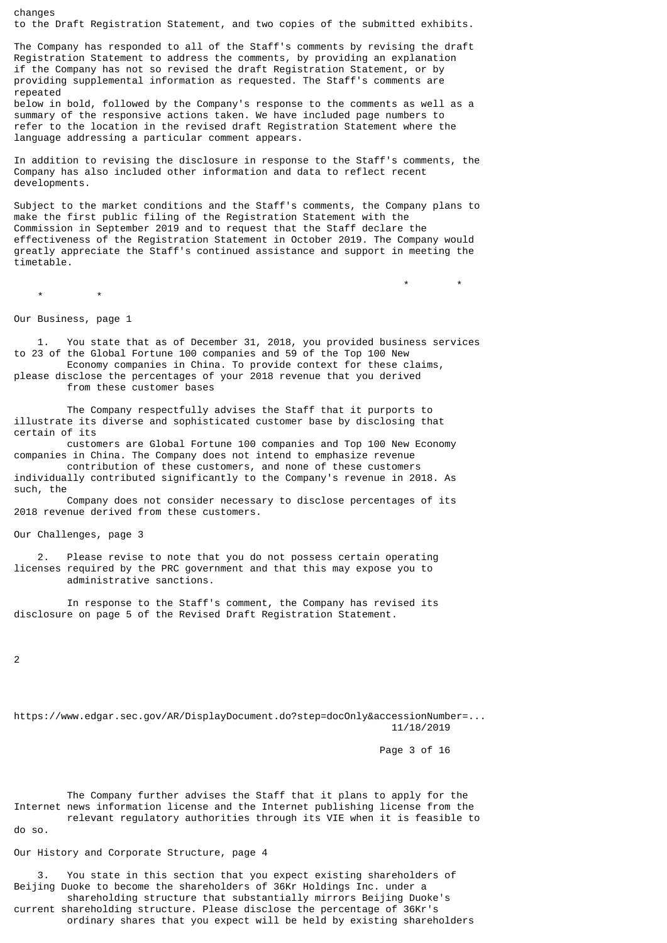changes to the Draft Registration Statement, and two copies of the submitted exhibits.

The Company has responded to all of the Staff's comments by revising the draft Registration Statement to address the comments, by providing an explanation if the Company has not so revised the draft Registration Statement, or by providing supplemental information as requested. The Staff's comments are repeated

below in bold, followed by the Company's response to the comments as well as a summary of the responsive actions taken. We have included page numbers to refer to the location in the revised draft Registration Statement where the language addressing a particular comment appears.

In addition to revising the disclosure in response to the Staff's comments, the Company has also included other information and data to reflect recent developments.

Subject to the market conditions and the Staff's comments, the Company plans to make the first public filing of the Registration Statement with the Commission in September 2019 and to request that the Staff declare the effectiveness of the Registration Statement in October 2019. The Company would greatly appreciate the Staff's continued assistance and support in meeting the timetable.

 \* \*  $\star$   $\star$ 

Our Business, page 1

 1. You state that as of December 31, 2018, you provided business services to 23 of the Global Fortune 100 companies and 59 of the Top 100 New Economy companies in China. To provide context for these claims, please disclose the percentages of your 2018 revenue that you derived from these customer bases

 The Company respectfully advises the Staff that it purports to illustrate its diverse and sophisticated customer base by disclosing that certain of its

 customers are Global Fortune 100 companies and Top 100 New Economy companies in China. The Company does not intend to emphasize revenue

 contribution of these customers, and none of these customers individually contributed significantly to the Company's revenue in 2018. As such, the

 Company does not consider necessary to disclose percentages of its 2018 revenue derived from these customers.

Our Challenges, page 3

 2. Please revise to note that you do not possess certain operating licenses required by the PRC government and that this may expose you to administrative sanctions.

 In response to the Staff's comment, the Company has revised its disclosure on page 5 of the Revised Draft Registration Statement.

 $\overline{2}$ 

https://www.edgar.sec.gov/AR/DisplayDocument.do?step=docOnly&accessionNumber=... 11/18/2019

Page 3 of 16

The Company further advises the Staff that it plans to apply for the Internet news information license and the Internet publishing license from the relevant regulatory authorities through its VIE when it is feasible to do so.

Our History and Corporate Structure, page 4

 3. You state in this section that you expect existing shareholders of Beijing Duoke to become the shareholders of 36Kr Holdings Inc. under a shareholding structure that substantially mirrors Beijing Duoke's current shareholding structure. Please disclose the percentage of 36Kr's ordinary shares that you expect will be held by existing shareholders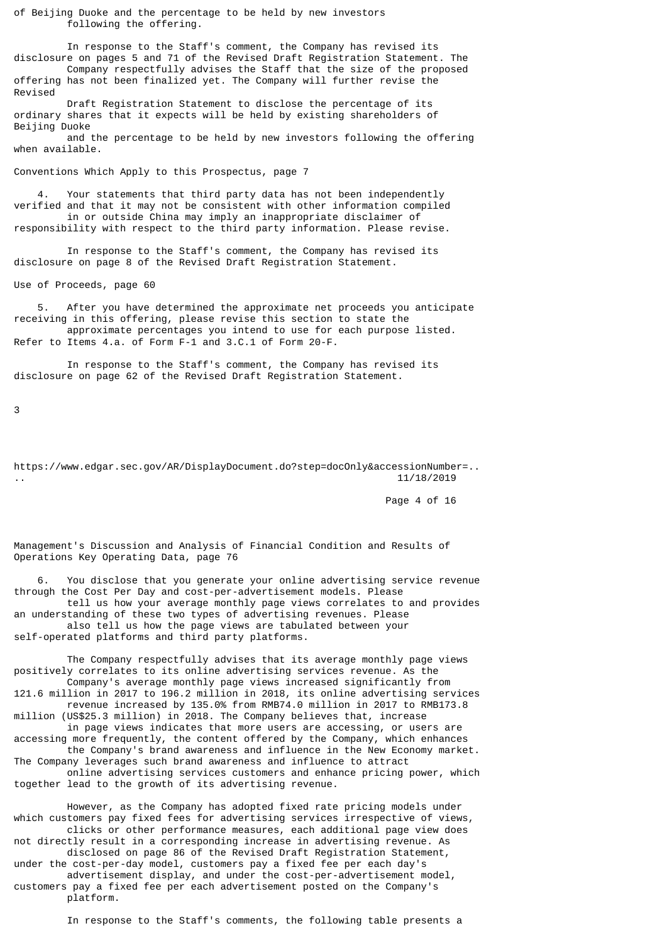of Beijing Duoke and the percentage to be held by new investors following the offering.

 In response to the Staff's comment, the Company has revised its disclosure on pages 5 and 71 of the Revised Draft Registration Statement. The Company respectfully advises the Staff that the size of the proposed offering has not been finalized yet. The Company will further revise the Revised

 Draft Registration Statement to disclose the percentage of its ordinary shares that it expects will be held by existing shareholders of Beijing Duoke

 and the percentage to be held by new investors following the offering when available.

Conventions Which Apply to this Prospectus, page 7

Your statements that third party data has not been independently verified and that it may not be consistent with other information compiled in or outside China may imply an inappropriate disclaimer of responsibility with respect to the third party information. Please revise.

 In response to the Staff's comment, the Company has revised its disclosure on page 8 of the Revised Draft Registration Statement.

Use of Proceeds, page 60

 5. After you have determined the approximate net proceeds you anticipate receiving in this offering, please revise this section to state the approximate percentages you intend to use for each purpose listed. Refer to Items 4.a. of Form F-1 and 3.C.1 of Form 20-F.

 In response to the Staff's comment, the Company has revised its disclosure on page 62 of the Revised Draft Registration Statement.

3

https://www.edgar.sec.gov/AR/DisplayDocument.do?step=docOnly&accessionNumber=.. .. 11/18/2019

Page 4 of 16

Management's Discussion and Analysis of Financial Condition and Results of Operations Key Operating Data, page 76

 6. You disclose that you generate your online advertising service revenue through the Cost Per Day and cost-per-advertisement models. Please

 tell us how your average monthly page views correlates to and provides an understanding of these two types of advertising revenues. Please also tell us how the page views are tabulated between your self-operated platforms and third party platforms.

 The Company respectfully advises that its average monthly page views positively correlates to its online advertising services revenue. As the Company's average monthly page views increased significantly from

121.6 million in 2017 to 196.2 million in 2018, its online advertising services revenue increased by 135.0% from RMB74.0 million in 2017 to RMB173.8 million (US\$25.3 million) in 2018. The Company believes that, increase in page views indicates that more users are accessing, or users are accessing more frequently, the content offered by the Company, which enhances the Company's brand awareness and influence in the New Economy market. The Company leverages such brand awareness and influence to attract online advertising services customers and enhance pricing power, which together lead to the growth of its advertising revenue.

 However, as the Company has adopted fixed rate pricing models under which customers pay fixed fees for advertising services irrespective of views, clicks or other performance measures, each additional page view does not directly result in a corresponding increase in advertising revenue. As

 disclosed on page 86 of the Revised Draft Registration Statement, under the cost-per-day model, customers pay a fixed fee per each day's

 advertisement display, and under the cost-per-advertisement model, customers pay a fixed fee per each advertisement posted on the Company's platform.

In response to the Staff's comments, the following table presents a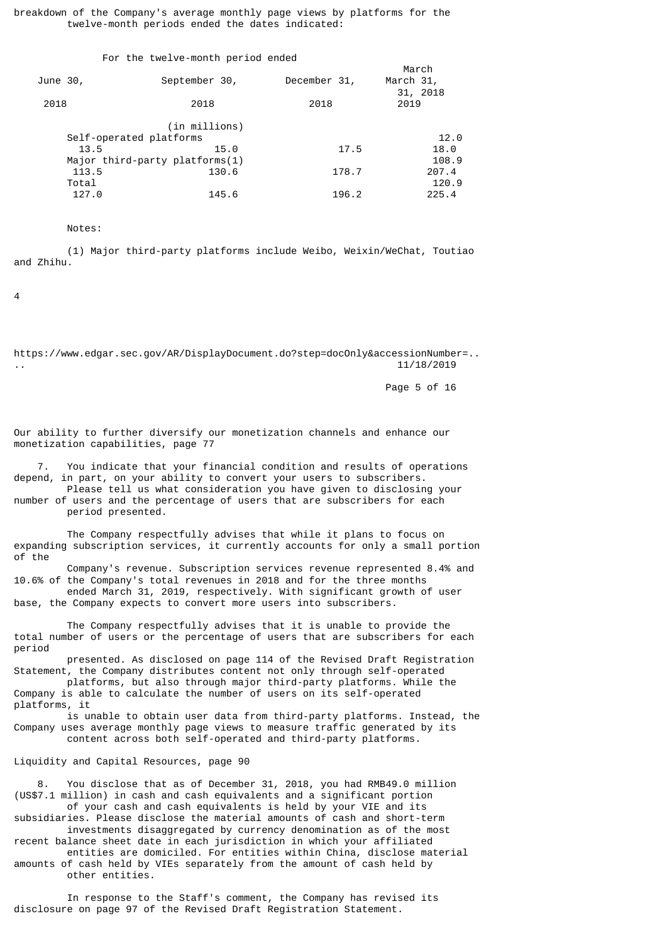breakdown of the Company's average monthly page views by platforms for the twelve-month periods ended the dates indicated:

| September 30,                  | December 31, | March<br>March 31,                |
|--------------------------------|--------------|-----------------------------------|
| 2018                           | 2018         | 31, 2018<br>2019                  |
| (in millions)                  |              |                                   |
| Self-operated platforms        |              | 12.0                              |
| 15.0                           | 17.5         | 18.0                              |
| Major third-party platforms(1) |              | 108.9                             |
| 130.6                          | 178.7        | 207.4                             |
|                                |              | 120.9                             |
| 145.6                          | 196.2        | 225.4                             |
|                                |              | For the twelve-month period ended |

Notes:

 (1) Major third-party platforms include Weibo, Weixin/WeChat, Toutiao and Zhihu.

 $\overline{A}$ 

https://www.edgar.sec.gov/AR/DisplayDocument.do?step=docOnly&accessionNumber=.. .. 11/18/2019

Page 5 of 16

Our ability to further diversify our monetization channels and enhance our monetization capabilities, page 77

 7. You indicate that your financial condition and results of operations depend, in part, on your ability to convert your users to subscribers.

 Please tell us what consideration you have given to disclosing your number of users and the percentage of users that are subscribers for each period presented.

 The Company respectfully advises that while it plans to focus on expanding subscription services, it currently accounts for only a small portion of the

 Company's revenue. Subscription services revenue represented 8.4% and 10.6% of the Company's total revenues in 2018 and for the three months ended March 31, 2019, respectively. With significant growth of user

base, the Company expects to convert more users into subscribers.

 The Company respectfully advises that it is unable to provide the total number of users or the percentage of users that are subscribers for each period

 presented. As disclosed on page 114 of the Revised Draft Registration Statement, the Company distributes content not only through self-operated platforms, but also through major third-party platforms. While the

Company is able to calculate the number of users on its self-operated platforms, it

 is unable to obtain user data from third-party platforms. Instead, the Company uses average monthly page views to measure traffic generated by its content across both self-operated and third-party platforms.

Liquidity and Capital Resources, page 90

 8. You disclose that as of December 31, 2018, you had RMB49.0 million (US\$7.1 million) in cash and cash equivalents and a significant portion of your cash and cash equivalents is held by your VIE and its

subsidiaries. Please disclose the material amounts of cash and short-term investments disaggregated by currency denomination as of the most recent balance sheet date in each jurisdiction in which your affiliated

 entities are domiciled. For entities within China, disclose material amounts of cash held by VIEs separately from the amount of cash held by

other entities.

 In response to the Staff's comment, the Company has revised its disclosure on page 97 of the Revised Draft Registration Statement.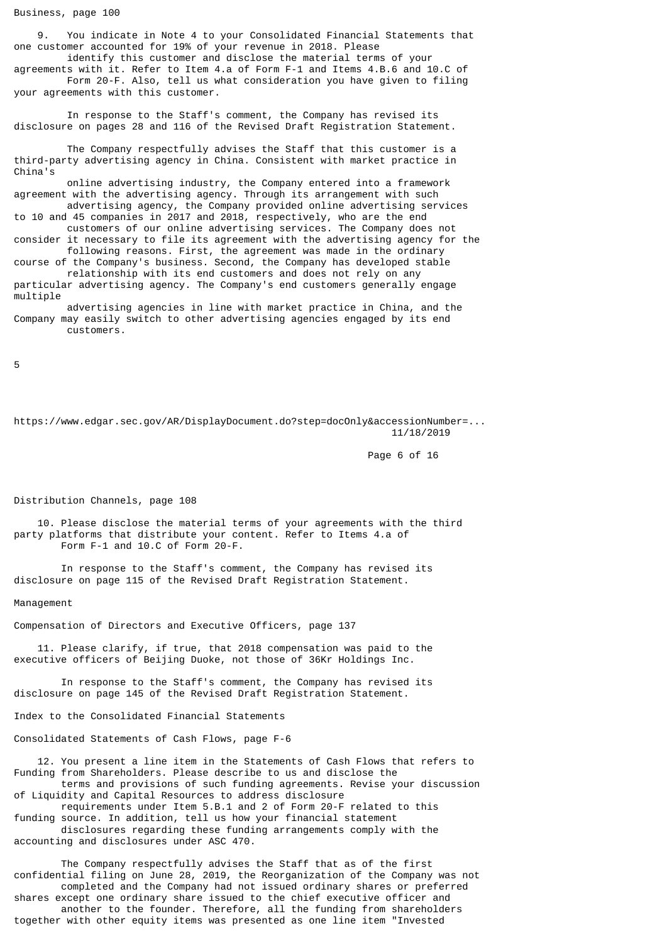9. You indicate in Note 4 to your Consolidated Financial Statements that one customer accounted for 19% of your revenue in 2018. Please

 identify this customer and disclose the material terms of your agreements with it. Refer to Item 4.a of Form F-1 and Items 4.B.6 and 10.C of Form 20-F. Also, tell us what consideration you have given to filing your agreements with this customer.

 In response to the Staff's comment, the Company has revised its disclosure on pages 28 and 116 of the Revised Draft Registration Statement.

 The Company respectfully advises the Staff that this customer is a third-party advertising agency in China. Consistent with market practice in China's

 online advertising industry, the Company entered into a framework agreement with the advertising agency. Through its arrangement with such advertising agency, the Company provided online advertising services to 10 and 45 companies in 2017 and 2018, respectively, who are the end

 customers of our online advertising services. The Company does not consider it necessary to file its agreement with the advertising agency for the following reasons. First, the agreement was made in the ordinary course of the Company's business. Second, the Company has developed stable relationship with its end customers and does not rely on any

particular advertising agency. The Company's end customers generally engage multiple

 advertising agencies in line with market practice in China, and the Company may easily switch to other advertising agencies engaged by its end customers.

5

https://www.edgar.sec.gov/AR/DisplayDocument.do?step=docOnly&accessionNumber=... 11/18/2019

Page 6 of 16

Distribution Channels, page 108

 10. Please disclose the material terms of your agreements with the third party platforms that distribute your content. Refer to Items 4.a of Form F-1 and 10.C of Form 20-F.

 In response to the Staff's comment, the Company has revised its disclosure on page 115 of the Revised Draft Registration Statement.

Management

Compensation of Directors and Executive Officers, page 137

 11. Please clarify, if true, that 2018 compensation was paid to the executive officers of Beijing Duoke, not those of 36Kr Holdings Inc.

 In response to the Staff's comment, the Company has revised its disclosure on page 145 of the Revised Draft Registration Statement.

Index to the Consolidated Financial Statements

Consolidated Statements of Cash Flows, page F-6

 12. You present a line item in the Statements of Cash Flows that refers to Funding from Shareholders. Please describe to us and disclose the terms and provisions of such funding agreements. Revise your discussion

of Liquidity and Capital Resources to address disclosure requirements under Item 5.B.1 and 2 of Form 20-F related to this

funding source. In addition, tell us how your financial statement disclosures regarding these funding arrangements comply with the accounting and disclosures under ASC 470.

 The Company respectfully advises the Staff that as of the first confidential filing on June 28, 2019, the Reorganization of the Company was not completed and the Company had not issued ordinary shares or preferred shares except one ordinary share issued to the chief executive officer and another to the founder. Therefore, all the funding from shareholders together with other equity items was presented as one line item "Invested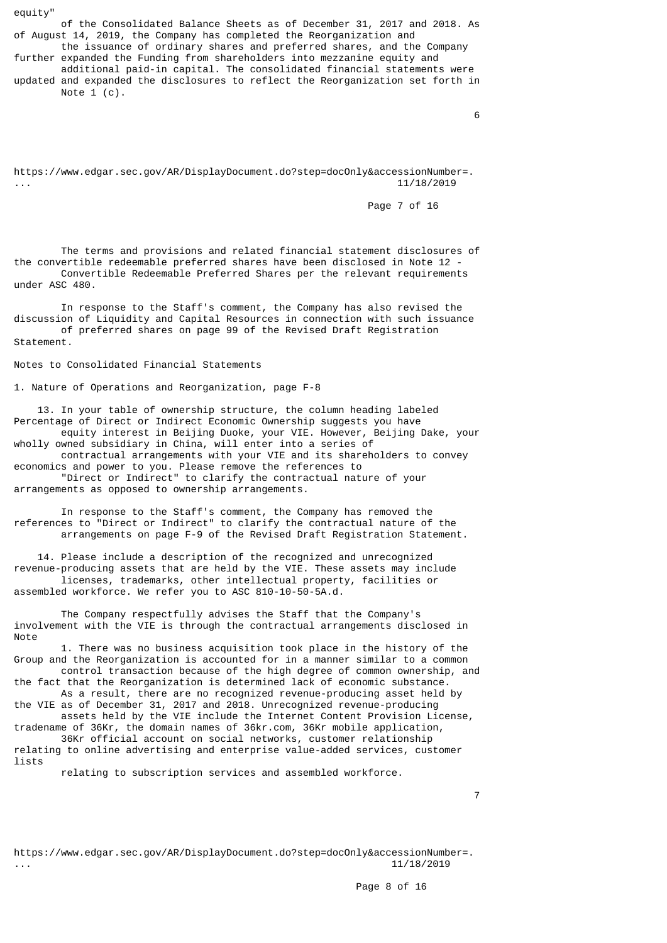equity"

 of the Consolidated Balance Sheets as of December 31, 2017 and 2018. As of August 14, 2019, the Company has completed the Reorganization and

 the issuance of ordinary shares and preferred shares, and the Company further expanded the Funding from shareholders into mezzanine equity and additional paid-in capital. The consolidated financial statements were updated and expanded the disclosures to reflect the Reorganization set forth in Note  $1$  (c).

 $\sim$  6

https://www.edgar.sec.gov/AR/DisplayDocument.do?step=docOnly&accessionNumber=. ... 11/18/2019

Page 7 of 16

 The terms and provisions and related financial statement disclosures of the convertible redeemable preferred shares have been disclosed in Note 12 - Convertible Redeemable Preferred Shares per the relevant requirements under ASC 480.

 In response to the Staff's comment, the Company has also revised the discussion of Liquidity and Capital Resources in connection with such issuance of preferred shares on page 99 of the Revised Draft Registration Statement.

Notes to Consolidated Financial Statements

1. Nature of Operations and Reorganization, page F-8

 13. In your table of ownership structure, the column heading labeled Percentage of Direct or Indirect Economic Ownership suggests you have equity interest in Beijing Duoke, your VIE. However, Beijing Dake, your wholly owned subsidiary in China, will enter into a series of

 contractual arrangements with your VIE and its shareholders to convey economics and power to you. Please remove the references to "Direct or Indirect" to clarify the contractual nature of your

arrangements as opposed to ownership arrangements.

 In response to the Staff's comment, the Company has removed the references to "Direct or Indirect" to clarify the contractual nature of the arrangements on page F-9 of the Revised Draft Registration Statement.

 14. Please include a description of the recognized and unrecognized revenue-producing assets that are held by the VIE. These assets may include licenses, trademarks, other intellectual property, facilities or assembled workforce. We refer you to ASC 810-10-50-5A.d.

 The Company respectfully advises the Staff that the Company's involvement with the VIE is through the contractual arrangements disclosed in Note

 1. There was no business acquisition took place in the history of the Group and the Reorganization is accounted for in a manner similar to a common control transaction because of the high degree of common ownership, and

the fact that the Reorganization is determined lack of economic substance. As a result, there are no recognized revenue-producing asset held by

the VIE as of December 31, 2017 and 2018. Unrecognized revenue-producing assets held by the VIE include the Internet Content Provision License,

tradename of 36Kr, the domain names of 36kr.com, 36Kr mobile application, 36Kr official account on social networks, customer relationship

relating to online advertising and enterprise value-added services, customer lists relating to subscription services and assembled workforce.

7

https://www.edgar.sec.gov/AR/DisplayDocument.do?step=docOnly&accessionNumber=. ... 11/18/2019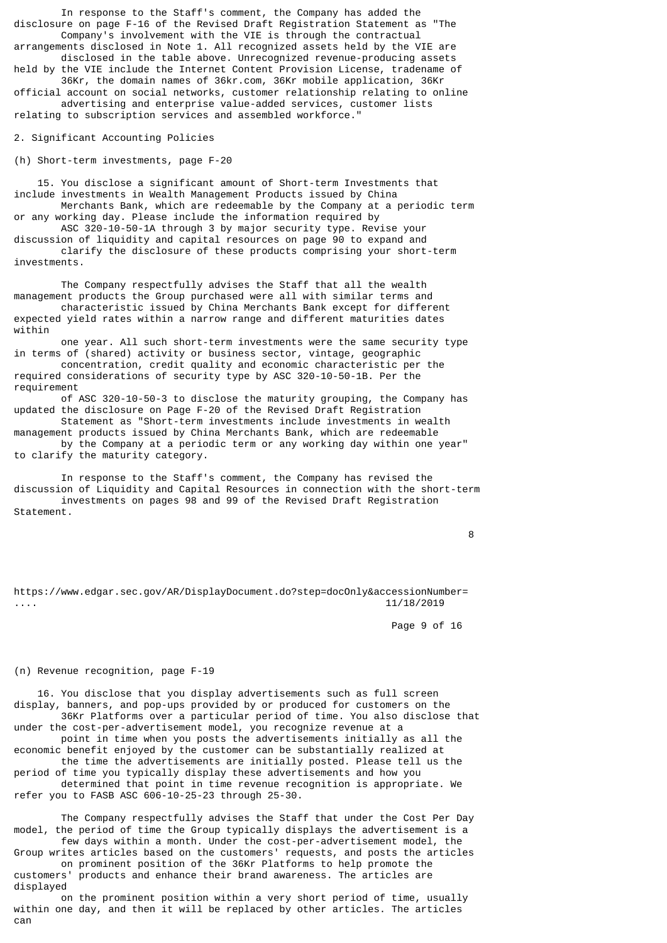In response to the Staff's comment, the Company has added the disclosure on page F-16 of the Revised Draft Registration Statement as "The Company's involvement with the VIE is through the contractual

arrangements disclosed in Note 1. All recognized assets held by the VIE are disclosed in the table above. Unrecognized revenue-producing assets

held by the VIE include the Internet Content Provision License, tradename of 36Kr, the domain names of 36kr.com, 36Kr mobile application, 36Kr official account on social networks, customer relationship relating to online advertising and enterprise value-added services, customer lists relating to subscription services and assembled workforce."

2. Significant Accounting Policies

(h) Short-term investments, page F-20

 15. You disclose a significant amount of Short-term Investments that include investments in Wealth Management Products issued by China Merchants Bank, which are redeemable by the Company at a periodic term or any working day. Please include the information required by

 ASC 320-10-50-1A through 3 by major security type. Revise your discussion of liquidity and capital resources on page 90 to expand and clarify the disclosure of these products comprising your short-term investments.

 The Company respectfully advises the Staff that all the wealth management products the Group purchased were all with similar terms and characteristic issued by China Merchants Bank except for different expected yield rates within a narrow range and different maturities dates within

 one year. All such short-term investments were the same security type in terms of (shared) activity or business sector, vintage, geographic concentration, credit quality and economic characteristic per the required considerations of security type by ASC 320-10-50-1B. Per the requirement

 of ASC 320-10-50-3 to disclose the maturity grouping, the Company has updated the disclosure on Page F-20 of the Revised Draft Registration

 Statement as "Short-term investments include investments in wealth management products issued by China Merchants Bank, which are redeemable by the Company at a periodic term or any working day within one year" to clarify the maturity category.

 In response to the Staff's comment, the Company has revised the discussion of Liquidity and Capital Resources in connection with the short-term investments on pages 98 and 99 of the Revised Draft Registration Statement.

8

https://www.edgar.sec.gov/AR/DisplayDocument.do?step=docOnly&accessionNumber= .... 11/18/2019

Page 9 of 16

## (n) Revenue recognition, page F-19

 16. You disclose that you display advertisements such as full screen display, banners, and pop-ups provided by or produced for customers on the 36Kr Platforms over a particular period of time. You also disclose that under the cost-per-advertisement model, you recognize revenue at a point in time when you posts the advertisements initially as all the

economic benefit enjoyed by the customer can be substantially realized at the time the advertisements are initially posted. Please tell us the period of time you typically display these advertisements and how you determined that point in time revenue recognition is appropriate. We refer you to FASB ASC 606-10-25-23 through 25-30.

 The Company respectfully advises the Staff that under the Cost Per Day model, the period of time the Group typically displays the advertisement is a few days within a month. Under the cost-per-advertisement model, the

Group writes articles based on the customers' requests, and posts the articles on prominent position of the 36Kr Platforms to help promote the customers' products and enhance their brand awareness. The articles are displayed

 on the prominent position within a very short period of time, usually within one day, and then it will be replaced by other articles. The articles can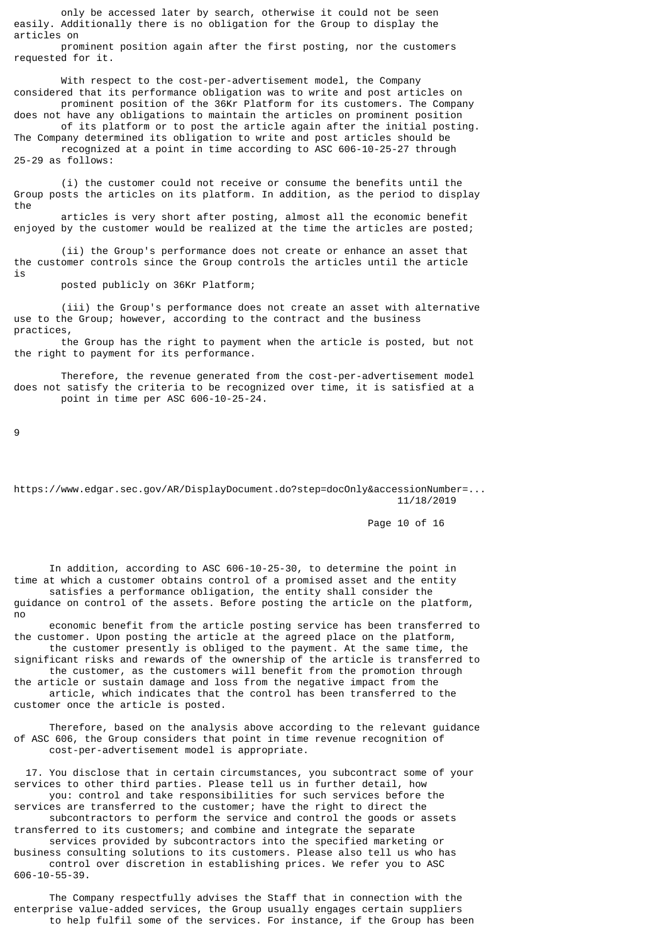only be accessed later by search, otherwise it could not be seen easily. Additionally there is no obligation for the Group to display the articles on

 prominent position again after the first posting, nor the customers requested for it.

With respect to the cost-per-advertisement model, the Company considered that its performance obligation was to write and post articles on prominent position of the 36Kr Platform for its customers. The Company does not have any obligations to maintain the articles on prominent position

 of its platform or to post the article again after the initial posting. The Company determined its obligation to write and post articles should be recognized at a point in time according to ASC 606-10-25-27 through 25-29 as follows:

 (i) the customer could not receive or consume the benefits until the Group posts the articles on its platform. In addition, as the period to display the

 articles is very short after posting, almost all the economic benefit enjoyed by the customer would be realized at the time the articles are posted;

 (ii) the Group's performance does not create or enhance an asset that the customer controls since the Group controls the articles until the article is

posted publicly on 36Kr Platform;

 (iii) the Group's performance does not create an asset with alternative use to the Group; however, according to the contract and the business practices,

 the Group has the right to payment when the article is posted, but not the right to payment for its performance.

 Therefore, the revenue generated from the cost-per-advertisement model does not satisfy the criteria to be recognized over time, it is satisfied at a point in time per ASC 606-10-25-24.

9

https://www.edgar.sec.gov/AR/DisplayDocument.do?step=docOnly&accessionNumber=... 11/18/2019

Page 10 of 16

 In addition, according to ASC 606-10-25-30, to determine the point in time at which a customer obtains control of a promised asset and the entity satisfies a performance obligation, the entity shall consider the guidance on control of the assets. Before posting the article on the platform, no

 economic benefit from the article posting service has been transferred to the customer. Upon posting the article at the agreed place on the platform, the customer presently is obliged to the payment. At the same time, the

significant risks and rewards of the ownership of the article is transferred to the customer, as the customers will benefit from the promotion through the article or sustain damage and loss from the negative impact from the

 article, which indicates that the control has been transferred to the customer once the article is posted.

 Therefore, based on the analysis above according to the relevant guidance of ASC 606, the Group considers that point in time revenue recognition of cost-per-advertisement model is appropriate.

 17. You disclose that in certain circumstances, you subcontract some of your services to other third parties. Please tell us in further detail, how you: control and take responsibilities for such services before the

services are transferred to the customer; have the right to direct the subcontractors to perform the service and control the goods or assets transferred to its customers; and combine and integrate the separate

 services provided by subcontractors into the specified marketing or business consulting solutions to its customers. Please also tell us who has control over discretion in establishing prices. We refer you to ASC 606-10-55-39.

 The Company respectfully advises the Staff that in connection with the enterprise value-added services, the Group usually engages certain suppliers to help fulfil some of the services. For instance, if the Group has been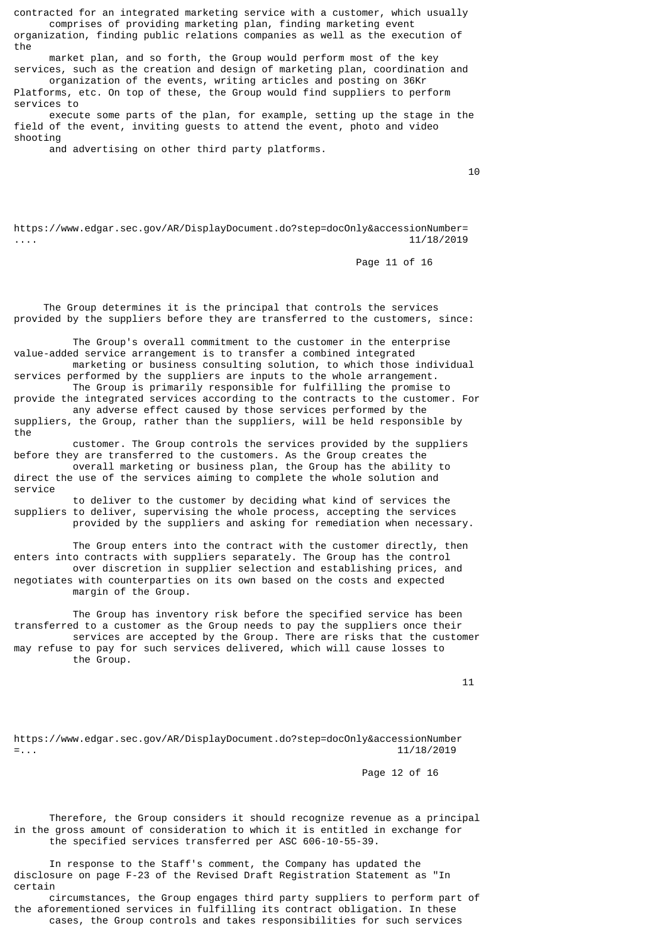contracted for an integrated marketing service with a customer, which usually comprises of providing marketing plan, finding marketing event organization, finding public relations companies as well as the execution of the

 market plan, and so forth, the Group would perform most of the key services, such as the creation and design of marketing plan, coordination and

 organization of the events, writing articles and posting on 36Kr Platforms, etc. On top of these, the Group would find suppliers to perform services to

 execute some parts of the plan, for example, setting up the stage in the field of the event, inviting guests to attend the event, photo and video shooting

and advertising on other third party platforms.

 $10$ 

https://www.edgar.sec.gov/AR/DisplayDocument.do?step=docOnly&accessionNumber= .... 11/18/2019

Page 11 of 16

 The Group determines it is the principal that controls the services provided by the suppliers before they are transferred to the customers, since:

 The Group's overall commitment to the customer in the enterprise value-added service arrangement is to transfer a combined integrated marketing or business consulting solution, to which those individual

services performed by the suppliers are inputs to the whole arrangement. The Group is primarily responsible for fulfilling the promise to

provide the integrated services according to the contracts to the customer. For any adverse effect caused by those services performed by the suppliers, the Group, rather than the suppliers, will be held responsible by

the customer. The Group controls the services provided by the suppliers before they are transferred to the customers. As the Group creates the

 overall marketing or business plan, the Group has the ability to direct the use of the services aiming to complete the whole solution and service

 to deliver to the customer by deciding what kind of services the suppliers to deliver, supervising the whole process, accepting the services provided by the suppliers and asking for remediation when necessary.

 The Group enters into the contract with the customer directly, then enters into contracts with suppliers separately. The Group has the control over discretion in supplier selection and establishing prices, and negotiates with counterparties on its own based on the costs and expected margin of the Group.

 The Group has inventory risk before the specified service has been transferred to a customer as the Group needs to pay the suppliers once their services are accepted by the Group. There are risks that the customer may refuse to pay for such services delivered, which will cause losses to the Group.

 $11$ 

https://www.edgar.sec.gov/AR/DisplayDocument.do?step=docOnly&accessionNumber =... 11/18/2019

Page 12 of 16

 Therefore, the Group considers it should recognize revenue as a principal in the gross amount of consideration to which it is entitled in exchange for the specified services transferred per ASC 606-10-55-39.

 In response to the Staff's comment, the Company has updated the disclosure on page F-23 of the Revised Draft Registration Statement as "In certain

 circumstances, the Group engages third party suppliers to perform part of the aforementioned services in fulfilling its contract obligation. In these cases, the Group controls and takes responsibilities for such services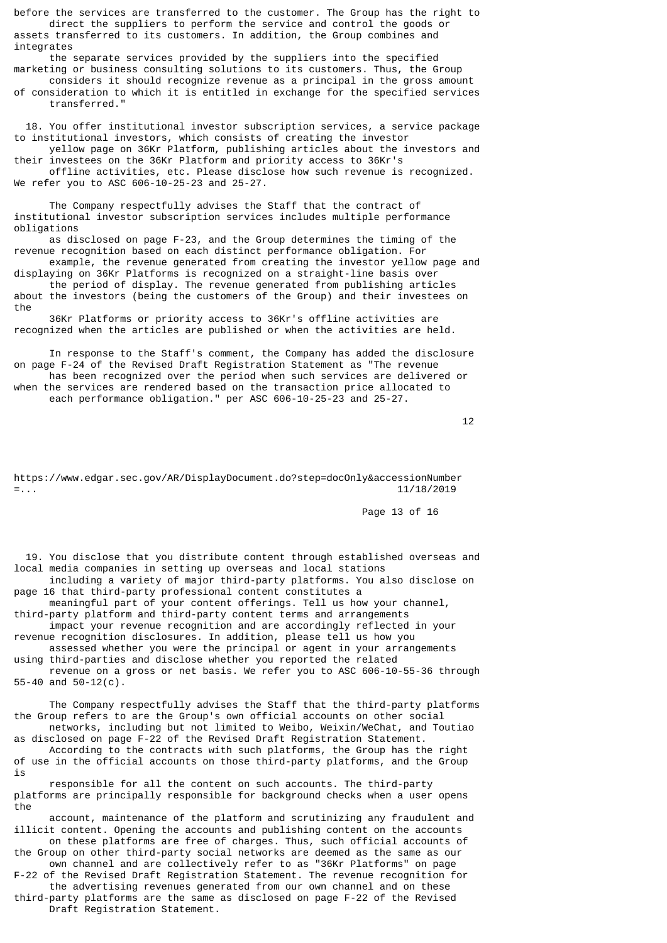before the services are transferred to the customer. The Group has the right to direct the suppliers to perform the service and control the goods or assets transferred to its customers. In addition, the Group combines and integrates

 the separate services provided by the suppliers into the specified marketing or business consulting solutions to its customers. Thus, the Group

 considers it should recognize revenue as a principal in the gross amount of consideration to which it is entitled in exchange for the specified services transferred."

 18. You offer institutional investor subscription services, a service package to institutional investors, which consists of creating the investor

 yellow page on 36Kr Platform, publishing articles about the investors and their investees on the 36Kr Platform and priority access to 36Kr's offline activities, etc. Please disclose how such revenue is recognized.

We refer you to ASC 606-10-25-23 and 25-27.

 The Company respectfully advises the Staff that the contract of institutional investor subscription services includes multiple performance obligations

 as disclosed on page F-23, and the Group determines the timing of the revenue recognition based on each distinct performance obligation. For

 example, the revenue generated from creating the investor yellow page and displaying on 36Kr Platforms is recognized on a straight-line basis over the period of display. The revenue generated from publishing articles about the investors (being the customers of the Group) and their investees on

the 36Kr Platforms or priority access to 36Kr's offline activities are recognized when the articles are published or when the activities are held.

 In response to the Staff's comment, the Company has added the disclosure on page F-24 of the Revised Draft Registration Statement as "The revenue has been recognized over the period when such services are delivered or when the services are rendered based on the transaction price allocated to each performance obligation." per ASC 606-10-25-23 and 25-27.

 $12$ 

https://www.edgar.sec.gov/AR/DisplayDocument.do?step=docOnly&accessionNumber =... 11/18/2019

Page 13 of 16

 19. You disclose that you distribute content through established overseas and local media companies in setting up overseas and local stations

 including a variety of major third-party platforms. You also disclose on page 16 that third-party professional content constitutes a

 meaningful part of your content offerings. Tell us how your channel, third-party platform and third-party content terms and arrangements impact your revenue recognition and are accordingly reflected in your

revenue recognition disclosures. In addition, please tell us how you assessed whether you were the principal or agent in your arrangements

using third-parties and disclose whether you reported the related revenue on a gross or net basis. We refer you to ASC 606-10-55-36 through 55-40 and 50-12(c).

 The Company respectfully advises the Staff that the third-party platforms the Group refers to are the Group's own official accounts on other social networks, including but not limited to Weibo, Weixin/WeChat, and Toutiao

as disclosed on page F-22 of the Revised Draft Registration Statement. According to the contracts with such platforms, the Group has the right of use in the official accounts on those third-party platforms, and the Group is

 responsible for all the content on such accounts. The third-party platforms are principally responsible for background checks when a user opens the

 account, maintenance of the platform and scrutinizing any fraudulent and illicit content. Opening the accounts and publishing content on the accounts on these platforms are free of charges. Thus, such official accounts of

the Group on other third-party social networks are deemed as the same as our own channel and are collectively refer to as "36Kr Platforms" on page

F-22 of the Revised Draft Registration Statement. The revenue recognition for the advertising revenues generated from our own channel and on these third-party platforms are the same as disclosed on page F-22 of the Revised Draft Registration Statement.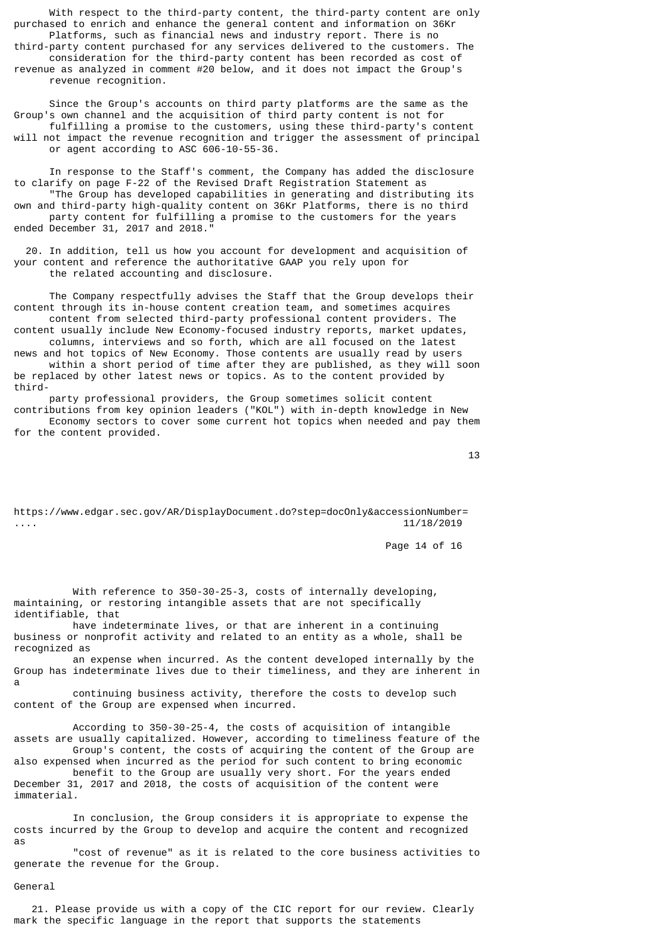With respect to the third-party content, the third-party content are only purchased to enrich and enhance the general content and information on 36Kr Platforms, such as financial news and industry report. There is no third-party content purchased for any services delivered to the customers. The consideration for the third-party content has been recorded as cost of revenue as analyzed in comment #20 below, and it does not impact the Group's revenue recognition.

 Since the Group's accounts on third party platforms are the same as the Group's own channel and the acquisition of third party content is not for fulfilling a promise to the customers, using these third-party's content will not impact the revenue recognition and trigger the assessment of principal or agent according to ASC 606-10-55-36.

 In response to the Staff's comment, the Company has added the disclosure to clarify on page F-22 of the Revised Draft Registration Statement as "The Group has developed capabilities in generating and distributing its own and third-party high-quality content on 36Kr Platforms, there is no third party content for fulfilling a promise to the customers for the years ended December 31, 2017 and 2018."

 20. In addition, tell us how you account for development and acquisition of your content and reference the authoritative GAAP you rely upon for the related accounting and disclosure.

 The Company respectfully advises the Staff that the Group develops their content through its in-house content creation team, and sometimes acquires content from selected third-party professional content providers. The

content usually include New Economy-focused industry reports, market updates, columns, interviews and so forth, which are all focused on the latest

news and hot topics of New Economy. Those contents are usually read by users within a short period of time after they are published, as they will soon be replaced by other latest news or topics. As to the content provided by third-

 party professional providers, the Group sometimes solicit content contributions from key opinion leaders ("KOL") with in-depth knowledge in New Economy sectors to cover some current hot topics when needed and pay them for the content provided.

13

https://www.edgar.sec.gov/AR/DisplayDocument.do?step=docOnly&accessionNumber= .... 11/18/2019

Page 14 of 16

With reference to 350-30-25-3, costs of internally developing, maintaining, or restoring intangible assets that are not specifically identifiable, that

 have indeterminate lives, or that are inherent in a continuing business or nonprofit activity and related to an entity as a whole, shall be recognized as

 an expense when incurred. As the content developed internally by the Group has indeterminate lives due to their timeliness, and they are inherent in a

 continuing business activity, therefore the costs to develop such content of the Group are expensed when incurred.

 According to 350-30-25-4, the costs of acquisition of intangible assets are usually capitalized. However, according to timeliness feature of the Group's content, the costs of acquiring the content of the Group are also expensed when incurred as the period for such content to bring economic benefit to the Group are usually very short. For the years ended December 31, 2017 and 2018, the costs of acquisition of the content were

immaterial.

 In conclusion, the Group considers it is appropriate to expense the costs incurred by the Group to develop and acquire the content and recognized as

 "cost of revenue" as it is related to the core business activities to generate the revenue for the Group.

General

 21. Please provide us with a copy of the CIC report for our review. Clearly mark the specific language in the report that supports the statements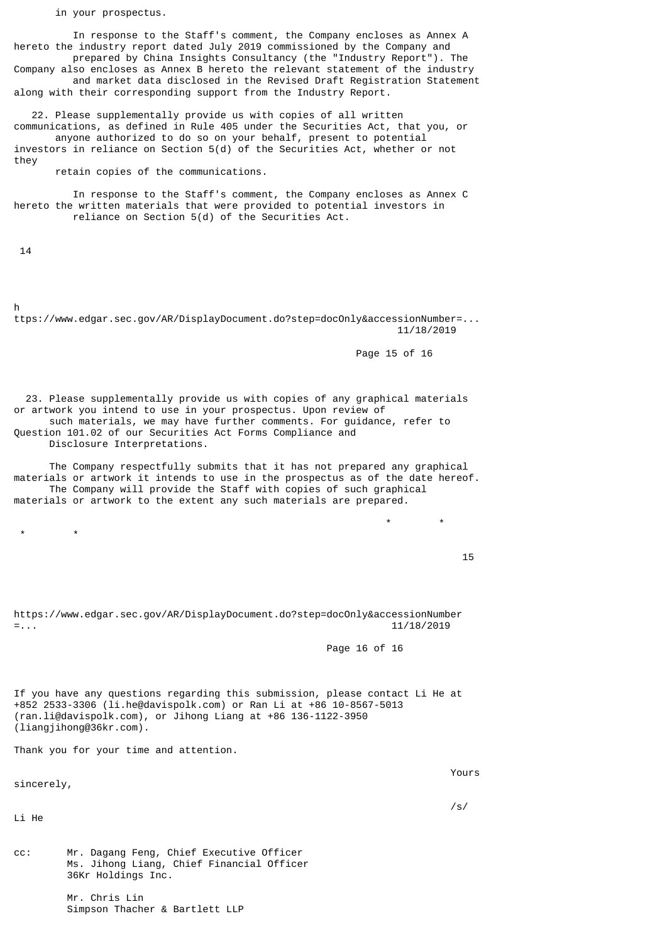in your prospectus.

 In response to the Staff's comment, the Company encloses as Annex A hereto the industry report dated July 2019 commissioned by the Company and prepared by China Insights Consultancy (the "Industry Report"). The Company also encloses as Annex B hereto the relevant statement of the industry and market data disclosed in the Revised Draft Registration Statement

along with their corresponding support from the Industry Report.

 22. Please supplementally provide us with copies of all written communications, as defined in Rule 405 under the Securities Act, that you, or anyone authorized to do so on your behalf, present to potential investors in reliance on Section 5(d) of the Securities Act, whether or not they

retain copies of the communications.

 In response to the Staff's comment, the Company encloses as Annex C hereto the written materials that were provided to potential investors in reliance on Section 5(d) of the Securities Act.

14

h

ttps://www.edgar.sec.gov/AR/DisplayDocument.do?step=docOnly&accessionNumber=... 11/18/2019

Page 15 of 16

 23. Please supplementally provide us with copies of any graphical materials or artwork you intend to use in your prospectus. Upon review of such materials, we may have further comments. For guidance, refer to Question 101.02 of our Securities Act Forms Compliance and Disclosure Interpretations.

 The Company respectfully submits that it has not prepared any graphical materials or artwork it intends to use in the prospectus as of the date hereof. The Company will provide the Staff with copies of such graphical materials or artwork to the extent any such materials are prepared.

 \* \* \* \*

<u>15</u>

https://www.edgar.sec.gov/AR/DisplayDocument.do?step=docOnly&accessionNumber =... 11/18/2019

Page 16 of 16

If you have any questions regarding this submission, please contact Li He at +852 2533-3306 (li.he@davispolk.com) or Ran Li at +86 10-8567-5013 (ran.li@davispolk.com), or Jihong Liang at +86 136-1122-3950 (liangjihong@36kr.com).

**Example 2018 Yours** 

Thank you for your time and attention.

sincerely,

Li He

/s/

cc: Mr. Dagang Feng, Chief Executive Officer Ms. Jihong Liang, Chief Financial Officer 36Kr Holdings Inc.

> Mr. Chris Lin Simpson Thacher & Bartlett LLP